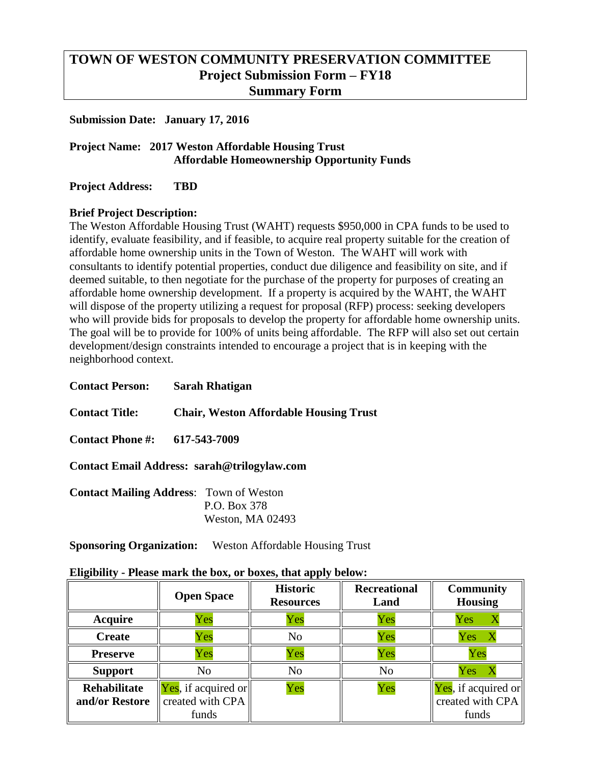# **TOWN OF WESTON COMMUNITY PRESERVATION COMMITTEE Project Submission Form – FY18 Summary Form**

#### **Submission Date: January 17, 2016**

## **Project Name: 2017 Weston Affordable Housing Trust Affordable Homeownership Opportunity Funds**

**Project Address: TBD**

### **Brief Project Description:**

The Weston Affordable Housing Trust (WAHT) requests \$950,000 in CPA funds to be used to identify, evaluate feasibility, and if feasible, to acquire real property suitable for the creation of affordable home ownership units in the Town of Weston. The WAHT will work with consultants to identify potential properties, conduct due diligence and feasibility on site, and if deemed suitable, to then negotiate for the purchase of the property for purposes of creating an affordable home ownership development. If a property is acquired by the WAHT, the WAHT will dispose of the property utilizing a request for proposal (RFP) process: seeking developers who will provide bids for proposals to develop the property for affordable home ownership units. The goal will be to provide for 100% of units being affordable. The RFP will also set out certain development/design constraints intended to encourage a project that is in keeping with the neighborhood context.

**Contact Person: Sarah Rhatigan Contact Title: Chair, Weston Affordable Housing Trust Contact Phone #: 617-543-7009**

**Contact Email Address: sarah@trilogylaw.com**

| <b>Contact Mailing Address: Town of Weston</b> |                  |
|------------------------------------------------|------------------|
|                                                | P.O. Box 378     |
|                                                | Weston, MA 02493 |

**Sponsoring Organization:** Weston Affordable Housing Trust

| Eligibility - Please mark the box, or boxes, that apply below: |  |  |  |
|----------------------------------------------------------------|--|--|--|
|                                                                |  |  |  |

|                                       | <b>Open Space</b>                                                                  | <b>Historic</b><br><b>Resources</b> | <b>Recreational</b><br>Land | <b>Community</b><br><b>Housing</b>               |
|---------------------------------------|------------------------------------------------------------------------------------|-------------------------------------|-----------------------------|--------------------------------------------------|
| <b>Acquire</b>                        | Yes                                                                                | Yes                                 | Yes                         | Yes                                              |
| <b>Create</b>                         | Yes                                                                                | N <sub>o</sub>                      | Yes                         | Yes                                              |
| <b>Preserve</b>                       | Yes                                                                                | Yes                                 | Yes                         | Yes                                              |
| <b>Support</b>                        | N <sub>o</sub>                                                                     | No                                  | N <sub>o</sub>              | Yes                                              |
| <b>Rehabilitate</b><br>and/or Restore | $\left\Vert \mathbf{Yes}\right\Vert$ , if acquired or<br>created with CPA<br>funds | Yes                                 | Yes                         | Yes, if acquired or<br>created with CPA<br>funds |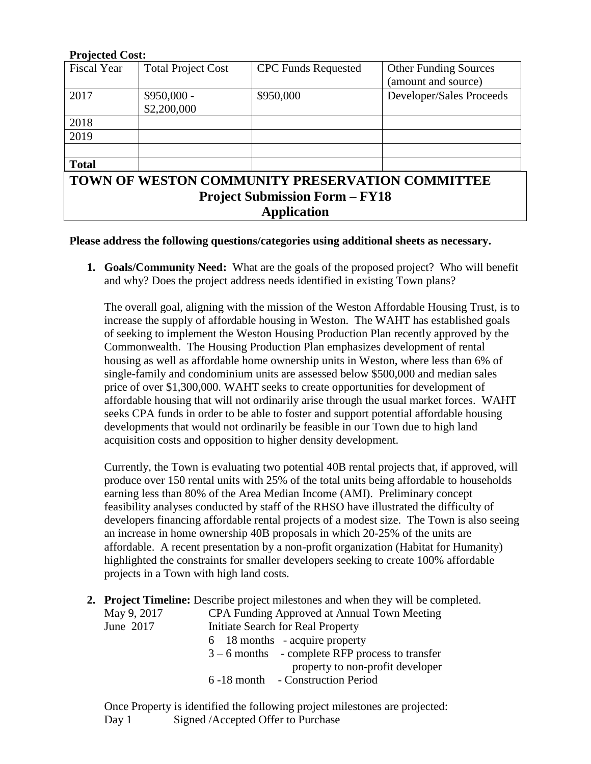#### **Projected Cost:**

| <b>Fiscal Year</b>                                                                              | <b>Total Project Cost</b> | <b>CPC Funds Requested</b> | <b>Other Funding Sources</b><br>(amount and source) |  |  |
|-------------------------------------------------------------------------------------------------|---------------------------|----------------------------|-----------------------------------------------------|--|--|
| 2017                                                                                            | $$950,000 -$              | \$950,000                  | Developer/Sales Proceeds                            |  |  |
|                                                                                                 | \$2,200,000               |                            |                                                     |  |  |
| 2018                                                                                            |                           |                            |                                                     |  |  |
| 2019                                                                                            |                           |                            |                                                     |  |  |
|                                                                                                 |                           |                            |                                                     |  |  |
| <b>Total</b>                                                                                    |                           |                            |                                                     |  |  |
| <b>TOWN OF WESTON COMMUNITY PRESERVATION COMMITTEE</b><br><b>Project Submission Form - FY18</b> |                           |                            |                                                     |  |  |
| <b>Application</b>                                                                              |                           |                            |                                                     |  |  |

#### **Please address the following questions/categories using additional sheets as necessary.**

**1. Goals/Community Need:** What are the goals of the proposed project? Who will benefit and why? Does the project address needs identified in existing Town plans?

The overall goal, aligning with the mission of the Weston Affordable Housing Trust, is to increase the supply of affordable housing in Weston. The WAHT has established goals of seeking to implement the Weston Housing Production Plan recently approved by the Commonwealth. The Housing Production Plan emphasizes development of rental housing as well as affordable home ownership units in Weston, where less than 6% of single-family and condominium units are assessed below \$500,000 and median sales price of over \$1,300,000. WAHT seeks to create opportunities for development of affordable housing that will not ordinarily arise through the usual market forces. WAHT seeks CPA funds in order to be able to foster and support potential affordable housing developments that would not ordinarily be feasible in our Town due to high land acquisition costs and opposition to higher density development.

Currently, the Town is evaluating two potential 40B rental projects that, if approved, will produce over 150 rental units with 25% of the total units being affordable to households earning less than 80% of the Area Median Income (AMI). Preliminary concept feasibility analyses conducted by staff of the RHSO have illustrated the difficulty of developers financing affordable rental projects of a modest size. The Town is also seeing an increase in home ownership 40B proposals in which 20-25% of the units are affordable. A recent presentation by a non-profit organization (Habitat for Humanity) highlighted the constraints for smaller developers seeking to create 100% affordable projects in a Town with high land costs.

**2. Project Timeline:** Describe project milestones and when they will be completed.

| May 9, 2017 | CPA Funding Approved at Annual Town Meeting       |  |  |
|-------------|---------------------------------------------------|--|--|
| June 2017   | Initiate Search for Real Property                 |  |  |
|             | $6 - 18$ months - acquire property                |  |  |
|             | $3 - 6$ months - complete RFP process to transfer |  |  |
|             | property to non-profit developer                  |  |  |
|             | 6 -18 month - Construction Period                 |  |  |
|             |                                                   |  |  |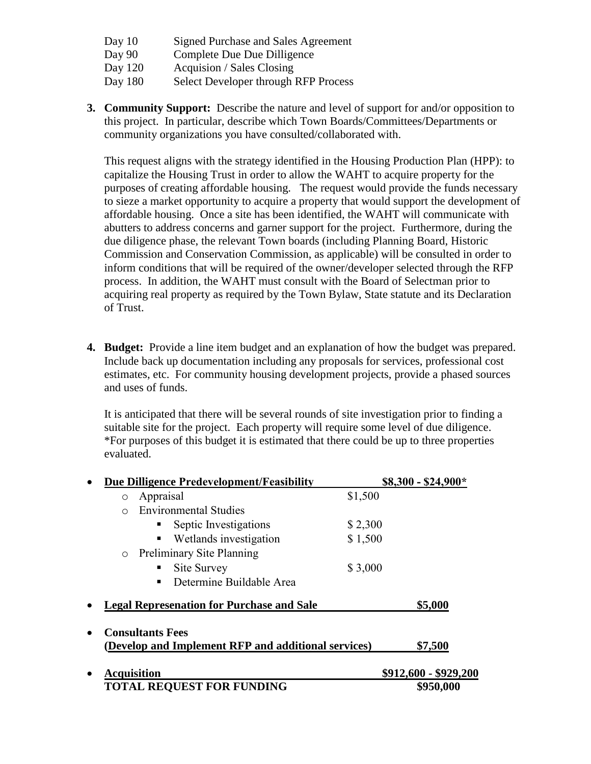- Day 10 Signed Purchase and Sales Agreement
- Day 90 Complete Due Due Dilligence
- Day 120 Acquision / Sales Closing
- Day 180 Select Developer through RFP Process
- **3. Community Support:** Describe the nature and level of support for and/or opposition to this project. In particular, describe which Town Boards/Committees/Departments or community organizations you have consulted/collaborated with.

This request aligns with the strategy identified in the Housing Production Plan (HPP): to capitalize the Housing Trust in order to allow the WAHT to acquire property for the purposes of creating affordable housing. The request would provide the funds necessary to sieze a market opportunity to acquire a property that would support the development of affordable housing. Once a site has been identified, the WAHT will communicate with abutters to address concerns and garner support for the project. Furthermore, during the due diligence phase, the relevant Town boards (including Planning Board, Historic Commission and Conservation Commission, as applicable) will be consulted in order to inform conditions that will be required of the owner/developer selected through the RFP process. In addition, the WAHT must consult with the Board of Selectman prior to acquiring real property as required by the Town Bylaw, State statute and its Declaration of Trust.

**4. Budget:** Provide a line item budget and an explanation of how the budget was prepared. Include back up documentation including any proposals for services, professional cost estimates, etc. For community housing development projects, provide a phased sources and uses of funds.

It is anticipated that there will be several rounds of site investigation prior to finding a suitable site for the project. Each property will require some level of due diligence. \*For purposes of this budget it is estimated that there could be up to three properties evaluated.

| Due Dilligence Predevelopment/Feasibility                                      | $$8,300 - $24,900*$   |
|--------------------------------------------------------------------------------|-----------------------|
| Appraisal<br>$\circ$                                                           | \$1,500               |
| <b>Environmental Studies</b><br>$\Omega$                                       |                       |
| Septic Investigations                                                          | \$2,300               |
| Wetlands investigation                                                         | \$1,500               |
| <b>Preliminary Site Planning</b><br>$\circ$                                    |                       |
| Site Survey                                                                    | \$3,000               |
| Determine Buildable Area                                                       |                       |
| <b>Legal Represenation for Purchase and Sale</b>                               | \$5,000               |
| <b>Consultants Fees</b><br>(Develop and Implement RFP and additional services) | \$7,500               |
| <b>Acquisition</b>                                                             | \$912,600 - \$929,200 |
| <b>TOTAL REQUEST FOR FUNDING</b>                                               | \$950,000             |